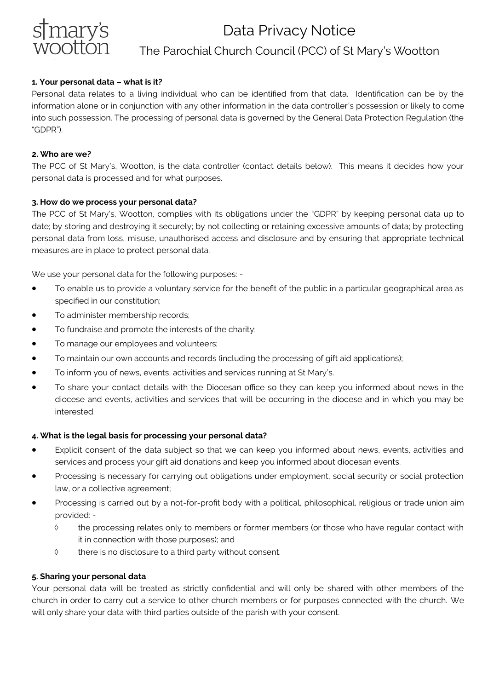

# Data Privacy Notice The Parochial Church Council (PCC) of St Mary's Wootton

# **1. Your personal data – what is it?**

Personal data relates to a living individual who can be identified from that data. Identification can be by the information alone or in conjunction with any other information in the data controller's possession or likely to come into such possession. The processing of personal data is governed by the General Data Protection Regulation (the "GDPR").

#### **2. Who are we?**

The PCC of St Mary's, Wootton, is the data controller (contact details below). This means it decides how your personal data is processed and for what purposes.

### **3. How do we process your personal data?**

The PCC of St Mary's, Wootton, complies with its obligations under the "GDPR" by keeping personal data up to date; by storing and destroying it securely; by not collecting or retaining excessive amounts of data; by protecting personal data from loss, misuse, unauthorised access and disclosure and by ensuring that appropriate technical measures are in place to protect personal data.

We use your personal data for the following purposes: -

- To enable us to provide a voluntary service for the benefit of the public in a particular geographical area as specified in our constitution;
- To administer membership records;
- To fundraise and promote the interests of the charity;
- To manage our employees and volunteers;
- To maintain our own accounts and records (including the processing of gift aid applications);
- To inform you of news, events, activities and services running at St Mary's.
- To share your contact details with the Diocesan office so they can keep you informed about news in the diocese and events, activities and services that will be occurring in the diocese and in which you may be interested.

# **4. What is the legal basis for processing your personal data?**

- Explicit consent of the data subject so that we can keep you informed about news, events, activities and services and process your gift aid donations and keep you informed about diocesan events.
- Processing is necessary for carrying out obligations under employment, social security or social protection law, or a collective agreement;
- Processing is carried out by a not-for-profit body with a political, philosophical, religious or trade union aim provided: -
	- $\diamond$  the processing relates only to members or former members (or those who have regular contact with it in connection with those purposes); and
	- there is no disclosure to a third party without consent.

#### **5. Sharing your personal data**

Your personal data will be treated as strictly confidential and will only be shared with other members of the church in order to carry out a service to other church members or for purposes connected with the church. We will only share your data with third parties outside of the parish with your consent.